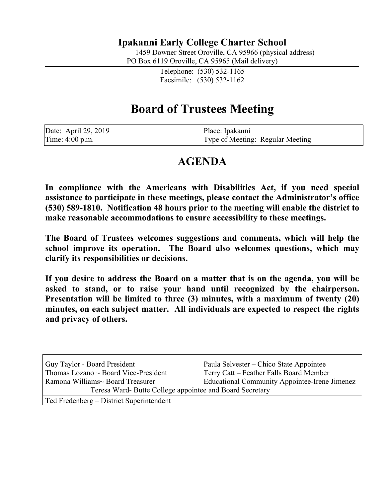## **Ipakanni Early College Charter School**

1459 Downer Street Oroville, CA 95966 (physical address)

PO Box 6119 Oroville, CA 95965 (Mail delivery)

Telephone: (530) 532-1165 Facsimile: (530) 532-1162

# **Board of Trustees Meeting**

| Date: April 29, 2019 | Place: Ipakanni                  |
|----------------------|----------------------------------|
| Time: 4:00 p.m.      | Type of Meeting: Regular Meeting |

## **AGENDA**

**In compliance with the Americans with Disabilities Act, if you need special assistance to participate in these meetings, please contact the Administrator's office (530) 589-1810. Notification 48 hours prior to the meeting will enable the district to make reasonable accommodations to ensure accessibility to these meetings.**

**The Board of Trustees welcomes suggestions and comments, which will help the school improve its operation. The Board also welcomes questions, which may clarify its responsibilities or decisions.**

**If you desire to address the Board on a matter that is on the agenda, you will be asked to stand, or to raise your hand until recognized by the chairperson. Presentation will be limited to three (3) minutes, with a maximum of twenty (20) minutes, on each subject matter. All individuals are expected to respect the rights and privacy of others.**

| Guy Taylor - Board President                             | Paula Selvester – Chico State Appointee              |  |
|----------------------------------------------------------|------------------------------------------------------|--|
| Thomas Lozano $\sim$ Board Vice-President                | Terry Catt – Feather Falls Board Member              |  |
| Ramona Williams~ Board Treasurer                         | <b>Educational Community Appointee-Irene Jimenez</b> |  |
| Teresa Ward- Butte College appointee and Board Secretary |                                                      |  |
| Ted Fredenberg – District Superintendent                 |                                                      |  |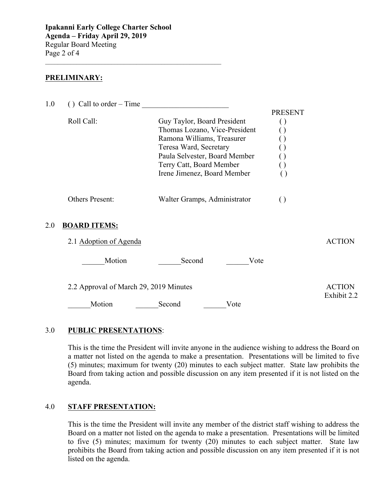$\mathcal{L}_\text{max}$  , and the set of the set of the set of the set of the set of the set of the set of the set of the set of the set of the set of the set of the set of the set of the set of the set of the set of the set of the

#### **PRELIMINARY:**

| 1.0 | () Call to order – Time                |                                                                                                                                                                                                                  |                                                                                     |                              |
|-----|----------------------------------------|------------------------------------------------------------------------------------------------------------------------------------------------------------------------------------------------------------------|-------------------------------------------------------------------------------------|------------------------------|
|     | Roll Call:                             | Guy Taylor, Board President<br>Thomas Lozano, Vice-President<br>Ramona Williams, Treasurer<br>Teresa Ward, Secretary<br>Paula Selvester, Board Member<br>Terry Catt, Board Member<br>Irene Jimenez, Board Member | <b>PRESENT</b><br>$\left(\begin{array}{c} \end{array}\right)$<br>$\left( \ \right)$ |                              |
|     | Others Present:                        | Walter Gramps, Administrator                                                                                                                                                                                     | $\left( \right)$                                                                    |                              |
| 2.0 | <b>BOARD ITEMS:</b>                    |                                                                                                                                                                                                                  |                                                                                     |                              |
|     | 2.1 Adoption of Agenda                 |                                                                                                                                                                                                                  |                                                                                     | <b>ACTION</b>                |
|     | Motion                                 | Second<br>Vote                                                                                                                                                                                                   |                                                                                     |                              |
|     | 2.2 Approval of March 29, 2019 Minutes |                                                                                                                                                                                                                  |                                                                                     | <b>ACTION</b><br>Exhibit 2.2 |
|     | Motion                                 | Second<br>Vote                                                                                                                                                                                                   |                                                                                     |                              |
|     |                                        |                                                                                                                                                                                                                  |                                                                                     |                              |

#### 3.0 **PUBLIC PRESENTATIONS**:

This is the time the President will invite anyone in the audience wishing to address the Board on a matter not listed on the agenda to make a presentation. Presentations will be limited to five (5) minutes; maximum for twenty (20) minutes to each subject matter. State law prohibits the Board from taking action and possible discussion on any item presented if it is not listed on the agenda.

### 4.0 **STAFF PRESENTATION:**

This is the time the President will invite any member of the district staff wishing to address the Board on a matter not listed on the agenda to make a presentation. Presentations will be limited to five (5) minutes; maximum for twenty (20) minutes to each subject matter. State law prohibits the Board from taking action and possible discussion on any item presented if it is not listed on the agenda.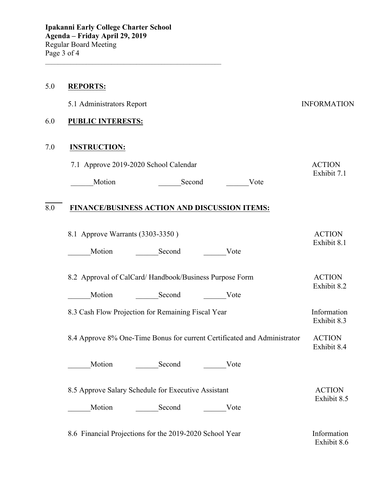#### 5.0 **REPORTS:**

|     | 5.1 Administrators Report             |        |      | <b>INFORMATION</b>           |
|-----|---------------------------------------|--------|------|------------------------------|
| 6.0 | <b>PUBLIC INTERESTS:</b>              |        |      |                              |
| 7.0 | <b>INSTRUCTION:</b>                   |        |      |                              |
|     | 7.1 Approve 2019-2020 School Calendar |        |      | <b>ACTION</b><br>Exhibit 7.1 |
|     | Motion                                | Second | Vote |                              |

### 8.0 **FINANCE/BUSINESS ACTION AND DISCUSSION ITEMS:**

\_\_\_\_\_\_\_\_\_\_\_\_\_\_\_\_\_\_\_\_\_\_\_\_\_\_\_\_\_\_\_\_\_\_\_\_\_\_\_\_\_\_\_\_\_\_\_\_\_\_\_\_\_\_\_\_

| 8.1 Approve Warrants (3303-3350) |        |      | <b>ACTION</b> |
|----------------------------------|--------|------|---------------|
|                                  |        |      | Exhibit 8.1   |
| Motion                           | Second | Vote |               |

| 8.2 Approval of CalCard/Handbook/Business Purpose Form |        |      | <b>ACTION</b><br>Exhibit 8.2 |
|--------------------------------------------------------|--------|------|------------------------------|
| Motion                                                 | Second | Vote |                              |

8.3 Cash Flow Projection for Remaining Fiscal Year Information Exhibit 8.3

 8.4 Approve 8% One-Time Bonus for current Certificated and Administrator ACTION Exhibit 8.4

Motion Second Vote

8.5 Approve Salary Schedule for Executive Assistant ACTION Exhibit 8.5 \_\_\_\_\_\_Motion \_\_\_\_\_\_Second \_\_\_\_\_\_Vote

8.6 Financial Projections for the 2019-2020 School Year Information Exhibit 8.6